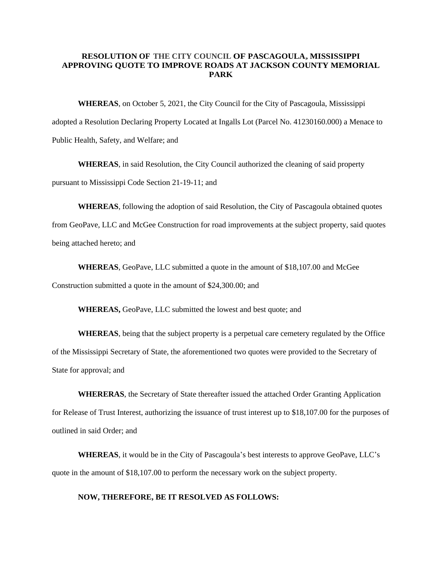## **RESOLUTION OF THE CITY COUNCIL OF PASCAGOULA,MISSISSIPPI APPROVING QUOTE TO IMPROVE ROADS AT JACKSON COUNTY MEMORIAL PARK**

**WHEREAS**, on October 5, 2021, the City Council for the City of Pascagoula, Mississippi adopted a Resolution Declaring Property Located at Ingalls Lot (Parcel No. 41230160.000) a Menace to Public Health, Safety, and Welfare; and

**WHEREAS**, in said Resolution, the City Council authorized the cleaning of said property pursuant to Mississippi Code Section 21-19-11; and

**WHEREAS**, following the adoption of said Resolution, the City of Pascagoula obtained quotes

from GeoPave, LLC and McGee Construction for road improvements at the subject property, said quotes being attached hereto; and

**WHEREAS**, GeoPave, LLC submitted a quote in the amount of \$18,107.00 and McGee Construction submitted a quote in the amount of \$24,300.00; and

**WHEREAS,** GeoPave, LLC submitted the lowest and best quote; and

**WHEREAS**, being that the subject property is a perpetual care cemetery regulated by the Office of the Mississippi Secretary of State, the aforementioned two quotes were provided to the Secretary of State for approval; and

**WHERERAS**, the Secretary of State thereafter issued the attached Order Granting Application for Release of Trust Interest, authorizing the issuance of trust interest up to \$18,107.00 for the purposes of outlined in said Order; and

**WHEREAS**, it would be in the City of Pascagoula's best interests to approve GeoPave, LLC's quote in the amount of \$18,107.00 to perform the necessary work on the subject property.

## **NOW, THEREFORE, BE IT RESOLVED AS FOLLOWS:**